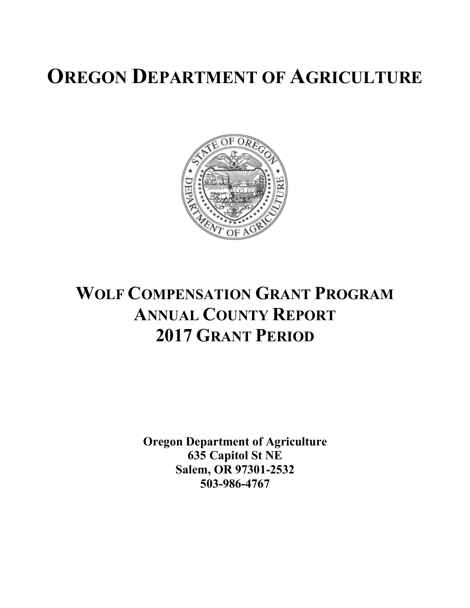# **OREGON DEPARTMENT OF AGRICULTURE**



## **WOLF COMPENSATION GRANT PROGRAM ANNUAL COUNTY REPORT 2017 GRANT PERIOD**

**Oregon Department of Agriculture 635 Capitol St NE Salem, OR 97301-2532 503-986-4767**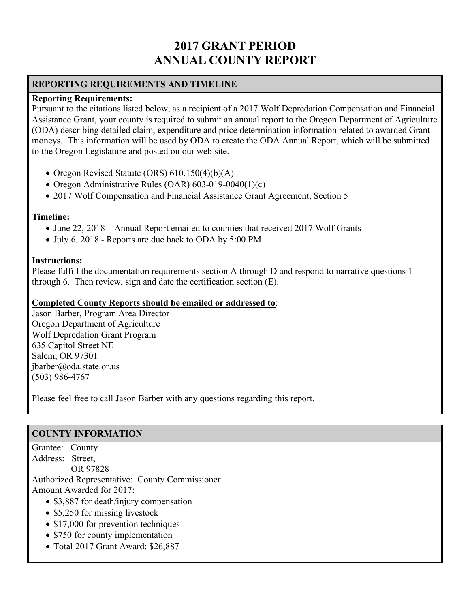### **2017 GRANT PERIOD ANNUAL COUNTY REPORT**

#### **REPORTING REQUIREMENTS AND TIMELINE**

#### **Reporting Requirements:**

Pursuant to the citations listed below, as a recipient of a 2017 Wolf Depredation Compensation and Financial Assistance Grant, your county is required to submit an annual report to the Oregon Department of Agriculture (ODA) describing detailed claim, expenditure and price determination information related to awarded Grant moneys. This information will be used by ODA to create the ODA Annual Report, which will be submitted to the Oregon Legislature and posted on our web site.

- Oregon Revised Statute (ORS) 610.150(4)(b)(A)
- Oregon Administrative Rules (OAR) 603-019-0040(1)(c)
- 2017 Wolf Compensation and Financial Assistance Grant Agreement, Section 5

#### **Timeline:**

- June 22, 2018 Annual Report emailed to counties that received 2017 Wolf Grants
- July 6, 2018 Reports are due back to ODA by 5:00 PM

#### **Instructions:**

Please fulfill the documentation requirements section A through D and respond to narrative questions 1 through 6. Then review, sign and date the certification section (E).

#### **Completed County Reports should be emailed or addressed to**:

Jason Barber, Program Area Director Oregon Department of Agriculture Wolf Depredation Grant Program 635 Capitol Street NE Salem, OR 97301 jbarber@oda.state.or.us (503) 986-4767

Please feel free to call Jason Barber with any questions regarding this report.

#### **COUNTY INFORMATION**

Grantee: County Address: Street,

 OR 97828 Authorized Representative: County Commissioner

Amount Awarded for 2017:

- \$3,887 for death/injury compensation
- \$5,250 for missing livestock
- \$17,000 for prevention techniques
- \$750 for county implementation
- Total 2017 Grant Award: \$26,887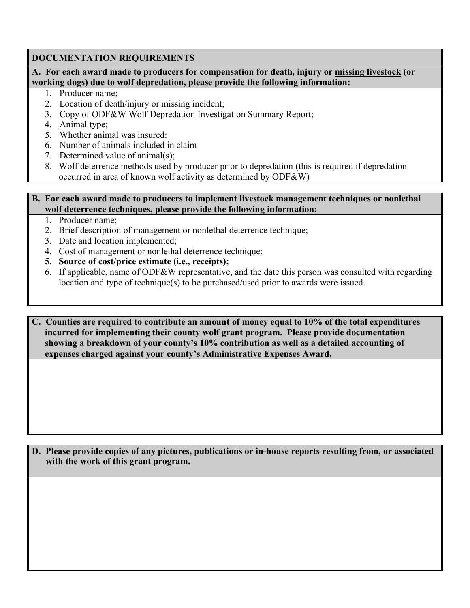#### **DOCUMENTATION REQUIREMENTS**

**A. For each award made to producers for compensation for death, injury or missing livestock (or working dogs) due to wolf depredation, please provide the following information:**

- 1. Producer name;
- 2. Location of death/injury or missing incident;
- 3. Copy of ODF&W Wolf Depredation Investigation Summary Report;
- 4. Animal type;
- 5. Whether animal was insured:
- 6. Number of animals included in claim
- 7. Determined value of animal(s);
- 8. Wolf deterrence methods used by producer prior to depredation (this is required if depredation occurred in area of known wolf activity as determined by ODF&W)

#### **B. For each award made to producers to implement livestock management techniques or nonlethal wolf deterrence techniques, please provide the following information:**

- 1. Producer name;
- 2. Brief description of management or nonlethal deterrence technique;
- 3. Date and location implemented;
- 4. Cost of management or nonlethal deterrence technique;
- **5. Source of cost/price estimate (i.e., receipts);**
- 6. If applicable, name of ODF&W representative, and the date this person was consulted with regarding location and type of technique(s) to be purchased/used prior to awards were issued.

**C. Counties are required to contribute an amount of money equal to 10% of the total expenditures incurred for implementing their county wolf grant program. Please provide documentation showing a breakdown of your county's 10% contribution as well as a detailed accounting of expenses charged against your county's Administrative Expenses Award.**

**D. Please provide copies of any pictures, publications or in-house reports resulting from, or associated with the work of this grant program.**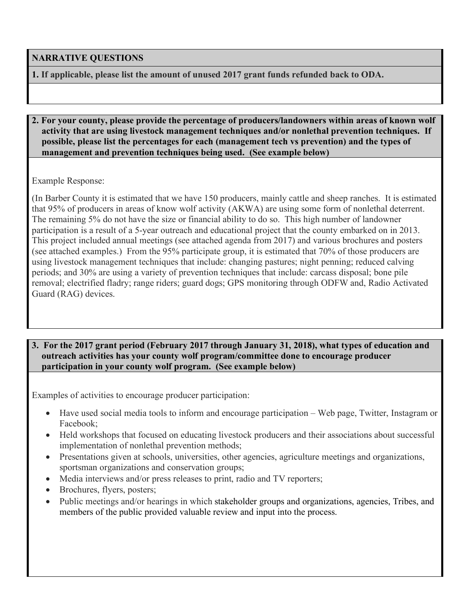#### **NARRATIVE QUESTIONS**

**1. If applicable, please list the amount of unused 2017 grant funds refunded back to ODA.**

#### **2. For your county, please provide the percentage of producers/landowners within areas of known wolf activity that are using livestock management techniques and/or nonlethal prevention techniques. If possible, please list the percentages for each (management tech vs prevention) and the types of management and prevention techniques being used. (See example below)**

Example Response:

(In Barber County it is estimated that we have 150 producers, mainly cattle and sheep ranches. It is estimated that 95% of producers in areas of know wolf activity (AKWA) are using some form of nonlethal deterrent. The remaining 5% do not have the size or financial ability to do so. This high number of landowner participation is a result of a 5-year outreach and educational project that the county embarked on in 2013. This project included annual meetings (see attached agenda from 2017) and various brochures and posters (see attached examples.) From the 95% participate group, it is estimated that 70% of those producers are using livestock management techniques that include: changing pastures; night penning; reduced calving periods; and 30% are using a variety of prevention techniques that include: carcass disposal; bone pile removal; electrified fladry; range riders; guard dogs; GPS monitoring through ODFW and, Radio Activated Guard (RAG) devices.

#### **3. For the 2017 grant period (February 2017 through January 31, 2018), what types of education and outreach activities has your county wolf program/committee done to encourage producer participation in your county wolf program. (See example below)**

Examples of activities to encourage producer participation:

- Have used social media tools to inform and encourage participation Web page, Twitter, Instagram or Facebook;
- Held workshops that focused on educating livestock producers and their associations about successful implementation of nonlethal prevention methods;
- Presentations given at schools, universities, other agencies, agriculture meetings and organizations, sportsman organizations and conservation groups;
- Media interviews and/or press releases to print, radio and TV reporters;
- Brochures, flyers, posters;
- Public meetings and/or hearings in which stakeholder groups and organizations, agencies, Tribes, and members of the public provided valuable review and input into the process.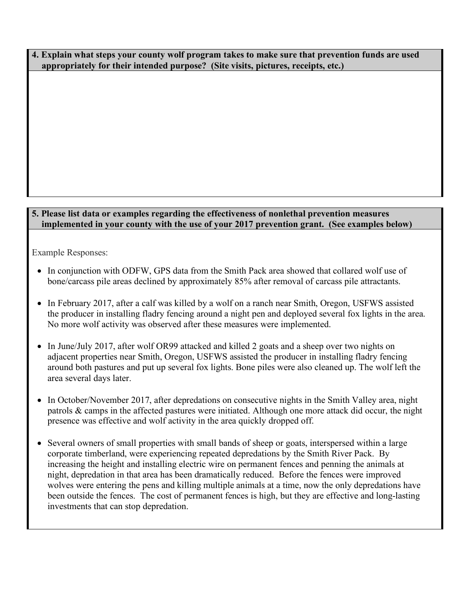**4. Explain what steps your county wolf program takes to make sure that prevention funds are used appropriately for their intended purpose? (Site visits, pictures, receipts, etc.)**

#### **5. Please list data or examples regarding the effectiveness of nonlethal prevention measures implemented in your county with the use of your 2017 prevention grant. (See examples below)**

Example Responses:

- In conjunction with ODFW, GPS data from the Smith Pack area showed that collared wolf use of bone/carcass pile areas declined by approximately 85% after removal of carcass pile attractants.
- In February 2017, after a calf was killed by a wolf on a ranch near Smith, Oregon, USFWS assisted the producer in installing fladry fencing around a night pen and deployed several fox lights in the area. No more wolf activity was observed after these measures were implemented.
- In June/July 2017, after wolf OR99 attacked and killed 2 goats and a sheep over two nights on adjacent properties near Smith, Oregon, USFWS assisted the producer in installing fladry fencing around both pastures and put up several fox lights. Bone piles were also cleaned up. The wolf left the area several days later.
- In October/November 2017, after depredations on consecutive nights in the Smith Valley area, night patrols & camps in the affected pastures were initiated. Although one more attack did occur, the night presence was effective and wolf activity in the area quickly dropped off.
- Several owners of small properties with small bands of sheep or goats, interspersed within a large corporate timberland, were experiencing repeated depredations by the Smith River Pack. By increasing the height and installing electric wire on permanent fences and penning the animals at night, depredation in that area has been dramatically reduced. Before the fences were improved wolves were entering the pens and killing multiple animals at a time, now the only depredations have been outside the fences. The cost of permanent fences is high, but they are effective and long-lasting investments that can stop depredation.